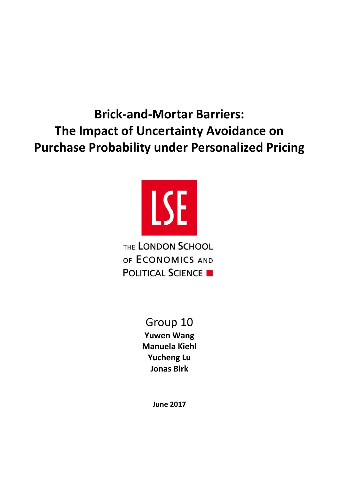**Brick-and-Mortar Barriers: The Impact of Uncertainty Avoidance on Purchase Probability under Personalized Pricing**



THE LONDON SCHOOL OF ECONOMICS AND **POLITICAL SCIENCE** 

# Group 10

**Yuwen Wang Manuela Kiehl Yucheng Lu Jonas Birk**

**June 2017**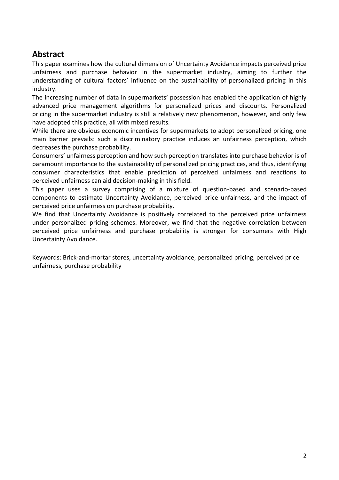# **Abstract**

This paper examines how the cultural dimension of Uncertainty Avoidance impacts perceived price unfairness and purchase behavior in the supermarket industry, aiming to further the understanding of cultural factors' influence on the sustainability of personalized pricing in this industry.

The increasing number of data in supermarkets' possession has enabled the application of highly advanced price management algorithms for personalized prices and discounts. Personalized pricing in the supermarket industry is still a relatively new phenomenon, however, and only few have adopted this practice, all with mixed results.

While there are obvious economic incentives for supermarkets to adopt personalized pricing, one main barrier prevails: such a discriminatory practice induces an unfairness perception, which decreases the purchase probability.

Consumers' unfairness perception and how such perception translates into purchase behavior is of paramount importance to the sustainability of personalized pricing practices, and thus, identifying consumer characteristics that enable prediction of perceived unfairness and reactions to perceived unfairness can aid decision-making in this field.

This paper uses a survey comprising of a mixture of question-based and scenario-based components to estimate Uncertainty Avoidance, perceived price unfairness, and the impact of perceived price unfairness on purchase probability.

We find that Uncertainty Avoidance is positively correlated to the perceived price unfairness under personalized pricing schemes. Moreover, we find that the negative correlation between perceived price unfairness and purchase probability is stronger for consumers with High Uncertainty Avoidance.

Keywords: Brick-and-mortar stores, uncertainty avoidance, personalized pricing, perceived price unfairness, purchase probability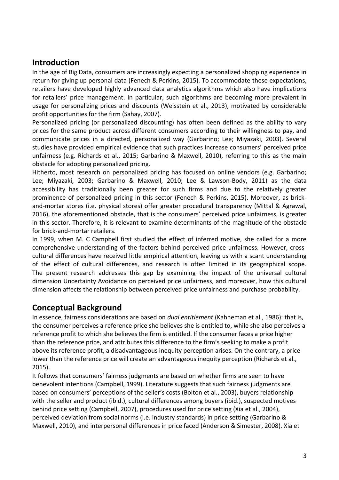# **Introduction**

In the age of Big Data, consumers are increasingly expecting a personalized shopping experience in return for giving up personal data (Fenech & Perkins, 2015). To accommodate these expectations, retailers have developed highly advanced data analytics algorithms which also have implications for retailers' price management. In particular, such algorithms are becoming more prevalent in usage for personalizing prices and discounts (Weisstein et al., 2013), motivated by considerable profit opportunities for the firm (Sahay, 2007).

Personalized pricing (or personalized discounting) has often been defined as the ability to vary prices for the same product across different consumers according to their willingness to pay, and communicate prices in a directed, personalized way (Garbarino; Lee; Miyazaki, 2003). Several studies have provided empirical evidence that such practices increase consumers' perceived price unfairness (e.g. Richards et al., 2015; Garbarino & Maxwell, 2010), referring to this as the main obstacle for adopting personalized pricing.

Hitherto, most research on personalized pricing has focused on online vendors (e.g. Garbarino; Lee; Miyazaki, 2003; Garbarino & Maxwell, 2010; Lee & Lawson-Body, 2011) as the data accessibility has traditionally been greater for such firms and due to the relatively greater prominence of personalized pricing in this sector (Fenech & Perkins, 2015). Moreover, as brickand-mortar stores (i.e. physical stores) offer greater procedural transparency (Mittal & Agrawal, 2016), the aforementioned obstacle, that is the consumers' perceived price unfairness, is greater in this sector. Therefore, it is relevant to examine determinants of the magnitude of the obstacle for brick-and-mortar retailers.

In 1999, when M. C Campbell first studied the effect of inferred motive, she called for a more comprehensive understanding of the factors behind perceived price unfairness. However, crosscultural differences have received little empirical attention, leaving us with a scant understanding of the effect of cultural differences, and research is often limited in its geographical scope. The present research addresses this gap by examining the impact of the universal cultural dimension Uncertainty Avoidance on perceived price unfairness, and moreover, how this cultural dimension affects the relationship between perceived price unfairness and purchase probability.

# **Conceptual Background**

In essence, fairness considerations are based on *dual entitlement* (Kahneman et al., 1986): that is, the consumer perceives a reference price she believes she is entitled to, while she also perceives a reference profit to which she believes the firm is entitled. If the consumer faces a price higher than the reference price, and attributes this difference to the firm's seeking to make a profit above its reference profit, a disadvantageous inequity perception arises. On the contrary, a price lower than the reference price will create an advantageous inequity perception (Richards et al., 2015).

It follows that consumers' fairness judgments are based on whether firms are seen to have benevolent intentions (Campbell, 1999). Literature suggests that such fairness judgments are based on consumers' perceptions of the seller's costs (Bolton et al., 2003), buyers relationship with the seller and product (ibid.), cultural differences among buyers (ibid.), suspected motives behind price setting (Campbell, 2007), procedures used for price setting (Xia et al., 2004), perceived deviation from social norms (i.e. industry standards) in price setting (Garbarino & Maxwell, 2010), and interpersonal differences in price faced (Anderson & Simester, 2008). Xia et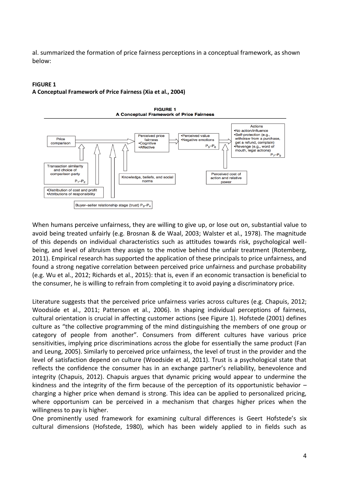al. summarized the formation of price fairness perceptions in a conceptual framework, as shown below:

#### **FIGURE 1**

**A Conceptual Framework of Price Fairness (Xia et al., 2004)**



When humans perceive unfairness, they are willing to give up, or lose out on, substantial value to avoid being treated unfairly (e.g. Brosnan & de Waal, 2003; Walster et al., 1978). The magnitude of this depends on individual characteristics such as attitudes towards risk, psychological wellbeing, and level of altruism they assign to the motive behind the unfair treatment (Rotemberg, 2011). Empirical research has supported the application of these principals to price unfairness, and found a strong negative correlation between perceived price unfairness and purchase probability (e.g. Wu et al., 2012; Richards et al., 2015): that is, even if an economic transaction is beneficial to the consumer, he is willing to refrain from completing it to avoid paying a discriminatory price.

Literature suggests that the perceived price unfairness varies across cultures (e.g. Chapuis, 2012; Woodside et al., 2011; Patterson et al., 2006). In shaping individual perceptions of fairness, cultural orientation is crucial in affecting customer actions (see Figure 1). Hofstede (2001) defines culture as "the collective programming of the mind distinguishing the members of one group or category of people from another". Consumers from different cultures have various price sensitivities, implying price discriminations across the globe for essentially the same product (Fan and Leung, 2005). Similarly to perceived price unfairness, the level of trust in the provider and the level of satisfaction depend on culture (Woodside et al, 2011). Trust is a psychological state that reflects the confidence the consumer has in an exchange partner's reliability, benevolence and integrity (Chapuis, 2012). Chapuis argues that dynamic pricing would appear to undermine the kindness and the integrity of the firm because of the perception of its opportunistic behavior – charging a higher price when demand is strong. This idea can be applied to personalized pricing, where opportunism can be perceived in a mechanism that charges higher prices when the willingness to pay is higher.

One prominently used framework for examining cultural differences is Geert Hofstede's six cultural dimensions (Hofstede, 1980), which has been widely applied to in fields such as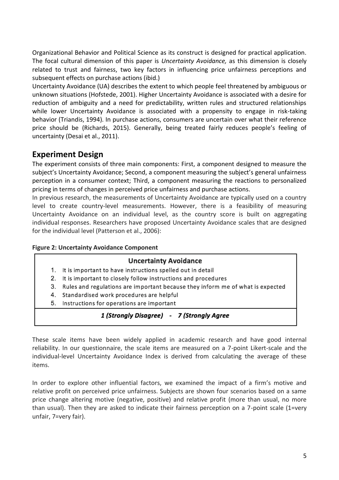Organizational Behavior and Political Science as its construct is designed for practical application. The focal cultural dimension of this paper is *Uncertainty Avoidance,* as this dimension is closely related to trust and fairness, two key factors in influencing price unfairness perceptions and subsequent effects on purchase actions (ibid.)

Uncertainty Avoidance (UA) describes the extent to which people feel threatened by ambiguous or unknown situations (Hofstede, 2001). Higher Uncertainty Avoidance is associated with a desire for reduction of ambiguity and a need for predictability, written rules and structured relationships while lower Uncertainty Avoidance is associated with a propensity to engage in risk-taking behavior (Triandis, 1994). In purchase actions, consumers are uncertain over what their reference price should be (Richards, 2015). Generally, being treated fairly reduces people's feeling of uncertainty (Desai et al., 2011).

# **Experiment Design**

The experiment consists of three main components: First, a component designed to measure the subject's Uncertainty Avoidance; Second, a component measuring the subject's general unfairness perception in a consumer context; Third, a component measuring the reactions to personalized pricing in terms of changes in perceived price unfairness and purchase actions.

In previous research, the measurements of Uncertainty Avoidance are typically used on a country level to create country-level measurements. However, there is a feasibility of measuring Uncertainty Avoidance on an individual level, as the country score is built on aggregating individual responses. Researchers have proposed Uncertainty Avoidance scales that are designed for the individual level (Patterson et al., 2006):

### **Figure 2: Uncertainty Avoidance Component**

### **Uncertainty Avoidance**

- 1. It is important to have instructions spelled out in detail
- 2. It is important to closely follow instructions and procedures
- 3. Rules and regulations are important because they inform me of what is expected
- 4. Standardised work procedures are helpful
- 5. Instructions for operations are important

# 1 (Strongly Disagree) - 7 (Strongly Agree

These scale items have been widely applied in academic research and have good internal reliability. In our questionnaire, the scale items are measured on a 7-point Likert-scale and the individual-level Uncertainty Avoidance Index is derived from calculating the average of these items.

In order to explore other influential factors, we examined the impact of a firm's motive and relative profit on perceived price unfairness. Subjects are shown four scenarios based on a same price change altering motive (negative, positive) and relative profit (more than usual, no more than usual). Then they are asked to indicate their fairness perception on a 7-point scale (1=very unfair, 7=very fair).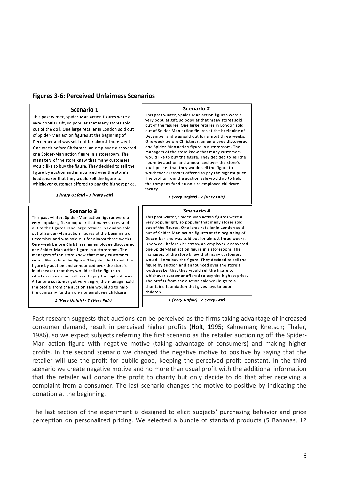| <b>Figures 3-6: Perceived Unfairness Scenarios</b> |  |
|----------------------------------------------------|--|
|----------------------------------------------------|--|

|                                                                                                                                                                                                                                                                                                                                                                                                                                                                                                                                                                                                                                                                                                                                                                                                                                                        | Scenario 2                                                                                                                                                                                                                                                                                                                                                                                                                                                                                                                                                                                                                                                                                                                                                                                        |  |
|--------------------------------------------------------------------------------------------------------------------------------------------------------------------------------------------------------------------------------------------------------------------------------------------------------------------------------------------------------------------------------------------------------------------------------------------------------------------------------------------------------------------------------------------------------------------------------------------------------------------------------------------------------------------------------------------------------------------------------------------------------------------------------------------------------------------------------------------------------|---------------------------------------------------------------------------------------------------------------------------------------------------------------------------------------------------------------------------------------------------------------------------------------------------------------------------------------------------------------------------------------------------------------------------------------------------------------------------------------------------------------------------------------------------------------------------------------------------------------------------------------------------------------------------------------------------------------------------------------------------------------------------------------------------|--|
| Scenario 1<br>This past winter, Spider-Man action figures were a<br>very popular gift, so popular that many stores sold<br>out of the doll. One large retailer in London sold out<br>of Spider-Man action figures at the beginning of<br>December and was sold out for almost three weeks.<br>One week before Christmas, an employee discovered<br>one Spider-Man action figure in a storeroom. The<br>managers of the store knew that many customers<br>would like to buy the figure. They decided to sell the<br>figure by auction and announced over the store's<br>loudspeaker that they would sell the figure to<br>whichever customer offered to pay the highest price.                                                                                                                                                                          | This past winter, Spider-Man action figures were a<br>very popular gift, so popular that many stores sold<br>out of the figures. One large retailer in London sold<br>out of Spider-Man action figures at the beginning of<br>December and was sold out for almost three weeks.<br>One week before Christmas, an employee discovered<br>one Spider-Man action figure in a storeroom. The<br>managers of the store knew that many customers<br>would like to buy the figure. They decided to sell the<br>figure by auction and announced over the store's<br>loudspeaker that they would sell the figure to<br>whichever customer offered to pay the highest price.<br>The profits from the auction sale would go to help<br>the company fund an on-site employee childcare<br>facility.           |  |
| 1 (Very Unfair) - 7 (Very Fair)                                                                                                                                                                                                                                                                                                                                                                                                                                                                                                                                                                                                                                                                                                                                                                                                                        | 1 (Very Unfair) - 7 (Very Fair)                                                                                                                                                                                                                                                                                                                                                                                                                                                                                                                                                                                                                                                                                                                                                                   |  |
|                                                                                                                                                                                                                                                                                                                                                                                                                                                                                                                                                                                                                                                                                                                                                                                                                                                        |                                                                                                                                                                                                                                                                                                                                                                                                                                                                                                                                                                                                                                                                                                                                                                                                   |  |
| <b>Scenario 3</b><br>This past winter, Spider-Man action figures were a<br>very popular gift, so popular that many stores sold<br>out of the figures. One large retailer in London sold<br>out of Spider-Man action figures at the beginning of<br>December and was sold out for almost three weeks.<br>One week before Christmas, an employee discovered<br>one Spider-Man action figure in a storeroom. The<br>managers of the store knew that many customers<br>would like to buy the figure. They decided to sell the<br>figure by auction and announced over the store's<br>loudspeaker that they would sell the figure to<br>whichever customer offered to pay the highest price.<br>After one customer got very angry, the manager said<br>the profits from the auction sale would go to help<br>the company fund an on-site employee childcare | Scenario 4<br>This past winter, Spider-Man action figures were a<br>very popular gift, so popular that many stores sold<br>out of the figures. One large retailer in London sold<br>out of Spider-Man action figures at the beginning of<br>December and was sold out for almost three weeks.<br>One week before Christmas, an employee discovered<br>one Spider-Man action figure in a storeroom. The<br>managers of the store knew that many customers<br>would like to buy the figure. They decided to sell the<br>figure by auction and announced over the store's<br>loudspeaker that they would sell the figure to<br>whichever customer offered to pay the highest price.<br>The profits from the auction sale would go to a<br>charitable foundation that gives toys to poor<br>children. |  |

Past research suggests that auctions can be perceived as the firms taking advantage of increased consumer demand, result in perceived higher profits (Holt, 1995; Kahneman; Knetsch; Thaler, 1986), so we expect subjects referring the first scenario as the retailer auctioning off the Spider-Man action figure with negative motive (taking advantage of consumers) and making higher profits. In the second scenario we changed the negative motive to positive by saying that the retailer will use the profit for public good, keeping the perceived profit constant. In the third scenario we create negative motive and no more than usual profit with the additional information that the retailer will donate the profit to charity but only decide to do that after receiving a complaint from a consumer. The last scenario changes the motive to positive by indicating the donation at the beginning.

The last section of the experiment is designed to elicit subjects' purchasing behavior and price perception on personalized pricing. We selected a bundle of standard products (5 Bananas, 12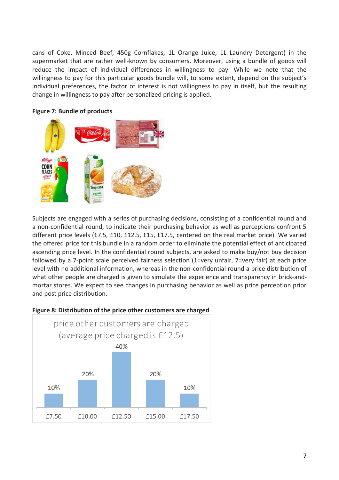cans of Coke, Minced Beef, 450g Cornflakes, 1L Orange Juice, 1L Laundry Detergent) in the supermarket that are rather well-known by consumers. Moreover, using a bundle of goods will reduce the impact of individual differences in willingness to pay. While we note that the willingness to pay for this particular goods bundle will, to some extent, depend on the subject's individual preferences, the factor of interest is not willingness to pay in itself, but the resulting change in willingness to pay after personalized pricing is applied.



#### **Figure 7: Bundle of products**

Subjects are engaged with a series of purchasing decisions, consisting of a confidential round and a non-confidential round, to indicate their purchasing behavior as well as perceptions confront 5 different price levels (£7.5, £10, £12.5, £15, £17.5, centered on the real market price). We varied the offered price for this bundle in a random order to eliminate the potential effect of anticipated ascending price level. In the confidential round subjects, are asked to make buy/not buy decision followed by a 7-point scale perceived fairness selection (1=very unfair, 7=very fair) at each price level with no additional information, whereas in the non-confidential round a price distribution of what other people are charged is given to simulate the experience and transparency in brick-andmortar stores. We expect to see changes in purchasing behavior as well as price perception prior and post price distribution.



#### **Figure 8: Distribution of the price other customers are charged**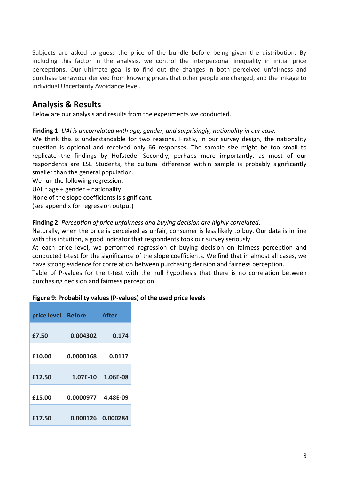Subjects are asked to guess the price of the bundle before being given the distribution. By including this factor in the analysis, we control the interpersonal inequality in initial price perceptions. Our ultimate goal is to find out the changes in both perceived unfairness and purchase behaviour derived from knowing prices that other people are charged, and the linkage to individual Uncertainty Avoidance level.

# **Analysis & Results**

Below are our analysis and results from the experiments we conducted.

#### **Finding 1**: *UAI is uncorrelated with age, gender, and surprisingly, nationality in our case.*

We think this is understandable for two reasons. Firstly, in our survey design, the nationality question is optional and received only 66 responses. The sample size might be too small to replicate the findings by Hofstede. Secondly, perhaps more importantly, as most of our respondents are LSE Students, the cultural difference within sample is probably significantly smaller than the general population.

We run the following regression:

UAI  $\sim$  age + gender + nationality

None of the slope coefficients is significant.

(see appendix for regression output)

#### **Finding 2**: *Perception of price unfairness and buying decision are highly correlated.*

Naturally, when the price is perceived as unfair, consumer is less likely to buy. Our data is in line with this intuition, a good indicator that respondents took our survey seriously.

At each price level, we performed regression of buying decision on fairness perception and conducted t-test for the significance of the slope coefficients. We find that in almost all cases, we have strong evidence for correlation between purchasing decision and fairness perception.

Table of P-values for the t-test with the null hypothesis that there is no correlation between purchasing decision and fairness perception

#### **Figure 9: Probability values (P-values) of the used price levels**

| price level Before |                    | <b>After</b>      |
|--------------------|--------------------|-------------------|
| £7.50              | 0.004302           | 0.174             |
| £10.00             | 0.0000168          | 0.0117            |
| £12.50             | $1.07E-10$         | 1.06E-08          |
| £15.00             | 0.0000977 4.48E-09 |                   |
| £17.50             |                    | 0.000126 0.000284 |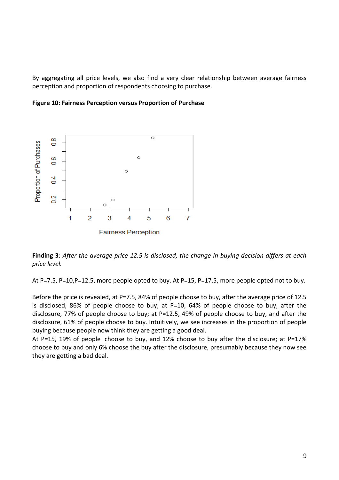By aggregating all price levels, we also find a very clear relationship between average fairness perception and proportion of respondents choosing to purchase.





**Finding 3**: *After the average price 12.5 is disclosed, the change in buying decision differs at each price level.*

At P=7.5, P=10,P=12.5, more people opted to buy. At P=15, P=17.5, more people opted not to buy.

Before the price is revealed, at P=7.5, 84% of people choose to buy, after the average price of 12.5 is disclosed, 86% of people choose to buy; at P=10, 64% of people choose to buy, after the disclosure, 77% of people choose to buy; at P=12.5, 49% of people choose to buy, and after the disclosure, 61% of people choose to buy. Intuitively, we see increases in the proportion of people buying because people now think they are getting a good deal.

At P=15, 19% of people choose to buy, and 12% choose to buy after the disclosure; at P=17% choose to buy and only 6% choose the buy after the disclosure, presumably because they now see they are getting a bad deal.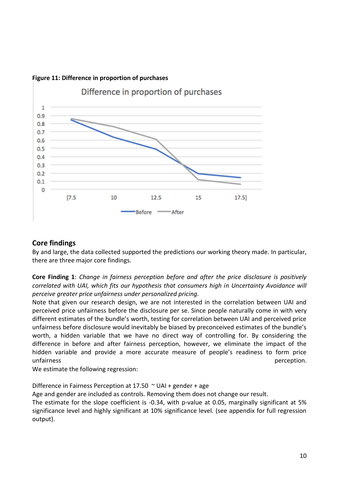

### **Figure 11: Difference in proportion of purchases**

### **Core findings**

By and large, the data collected supported the predictions our working theory made. In particular, there are three major core findings.

**Core Finding 1**: *Change in fairness perception before and after the price disclosure is positively correlated with UAI, which fits our hypothesis that consumers high in Uncertainty Avoidance will perceive greater price unfairness under personalized pricing.*

Note that given our research design, we are not interested in the correlation between UAI and perceived price unfairness before the disclosure per se. Since people naturally come in with very different estimates of the bundle's worth, testing for correlation between UAI and perceived price unfairness before disclosure would inevitably be biased by preconceived estimates of the bundle's worth, a hidden variable that we have no direct way of controlling for. By considering the difference in before and after fairness perception, however, we eliminate the impact of the hidden variable and provide a more accurate measure of people's readiness to form price unfairness perception.

We estimate the following regression:

Difference in Fairness Perception at 17.50 ~ UAI + gender + age

Age and gender are included as controls. Removing them does not change our result.

The estimate for the slope coefficient is -0.34, with p-value at 0.05, marginally significant at 5% significance level and highly significant at 10% significance level. (see appendix for full regression output).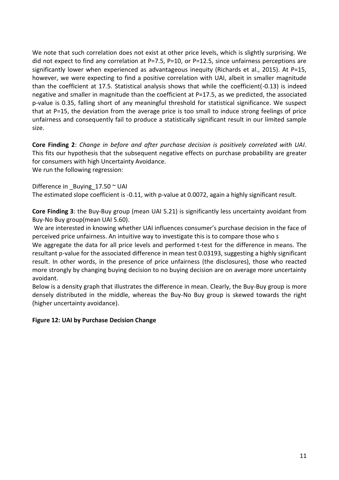We note that such correlation does not exist at other price levels, which is slightly surprising. We did not expect to find any correlation at P=7.5, P=10, or P=12.5, since unfairness perceptions are significantly lower when experienced as advantageous inequity (Richards et al., 2015). At P=15, however, we were expecting to find a positive correlation with UAI, albeit in smaller magnitude than the coefficient at 17.5. Statistical analysis shows that while the coefficient(-0.13) is indeed negative and smaller in magnitude than the coefficient at P=17.5, as we predicted, the associated p-value is 0.35, falling short of any meaningful threshold for statistical significance. We suspect that at P=15, the deviation from the average price is too small to induce strong feelings of price unfairness and consequently fail to produce a statistically significant result in our limited sample size.

**Core Finding 2**: *Change in before and after purchase decision is positively correlated with UAI*. This fits our hypothesis that the subsequent negative effects on purchase probability are greater for consumers with high Uncertainty Avoidance.

We run the following regression:

Difference in Buying  $17.50 \approx$  UAI The estimated slope coefficient is -0.11, with p-value at 0.0072, again a highly significant result.

**Core Finding 3**: the Buy-Buy group (mean UAI 5.21) is significantly less uncertainty avoidant from Buy-No Buy group(mean UAI 5.60).

We are interested in knowing whether UAI influences consumer's purchase decision in the face of perceived price unfairness. An intuitive way to investigate this is to compare those who s

We aggregate the data for all price levels and performed t-test for the difference in means. The resultant p-value for the associated difference in mean test 0.03193, suggesting a highly significant result. In other words, in the presence of price unfairness (the disclosures), those who reacted more strongly by changing buying decision to no buying decision are on average more uncertainty avoidant.

Below is a density graph that illustrates the difference in mean. Clearly, the Buy-Buy group is more densely distributed in the middle, whereas the Buy-No Buy group is skewed towards the right (higher uncertainty avoidance).

### **Figure 12: UAI by Purchase Decision Change**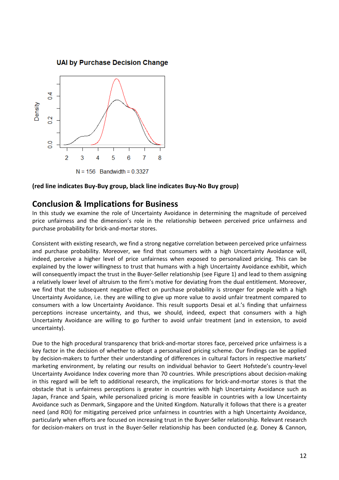**UAI by Purchase Decision Change** 



#### **(red line indicates Buy-Buy group, black line indicates Buy-No Buy group)**

# **Conclusion & Implications for Business**

In this study we examine the role of Uncertainty Avoidance in determining the magnitude of perceived price unfairness and the dimension's role in the relationship between perceived price unfairness and purchase probability for brick-and-mortar stores.

Consistent with existing research, we find a strong negative correlation between perceived price unfairness and purchase probability. Moreover, we find that consumers with a high Uncertainty Avoidance will, indeed, perceive a higher level of price unfairness when exposed to personalized pricing. This can be explained by the lower willingness to trust that humans with a high Uncertainty Avoidance exhibit, which will consequently impact the trust in the Buyer-Seller relationship (see Figure 1) and lead to them assigning a relatively lower level of altruism to the firm's motive for deviating from the dual entitlement. Moreover, we find that the subsequent negative effect on purchase probability is stronger for people with a high Uncertainty Avoidance, i.e. they are willing to give up more value to avoid unfair treatment compared to consumers with a low Uncertainty Avoidance. This result supports Desai et al.'s finding that unfairness perceptions increase uncertainty, and thus, we should, indeed, expect that consumers with a high Uncertainty Avoidance are willing to go further to avoid unfair treatment (and in extension, to avoid uncertainty).

Due to the high procedural transparency that brick-and-mortar stores face, perceived price unfairness is a key factor in the decision of whether to adopt a personalized pricing scheme. Our findings can be applied by decision-makers to further their understanding of differences in cultural factors in respective markets' marketing environment, by relating our results on individual behavior to Geert Hofstede's country-level Uncertainty Avoidance Index covering more than 70 countries. While prescriptions about decision-making in this regard will be left to additional research, the implications for brick-and-mortar stores is that the obstacle that is unfairness perceptions is greater in countries with high Uncertainty Avoidance such as Japan, France and Spain, while personalized pricing is more feasible in countries with a low Uncertainty Avoidance such as Denmark, Singapore and the United Kingdom. Naturally it follows that there is a greater need (and ROI) for mitigating perceived price unfairness in countries with a high Uncertainty Avoidance, particularly when efforts are focused on increasing trust in the Buyer-Seller relationship. Relevant research for decision-makers on trust in the Buyer-Seller relationship has been conducted (e.g. Doney & Cannon,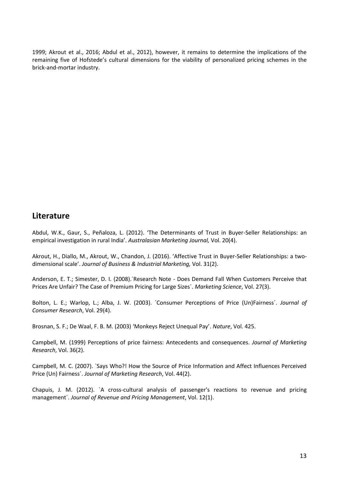1999; Akrout et al., 2016; Abdul et al., 2012), however, it remains to determine the implications of the remaining five of Hofstede's cultural dimensions for the viability of personalized pricing schemes in the brick-and-mortar industry.

# **Literature**

Abdul, W.K., Gaur, S., Peñaloza, L. (2012). 'The Determinants of Trust in Buyer-Seller Relationships: an empirical investigation in rural India'. *Australasian Marketing Journal,* Vol. 20(4).

Akrout, H., Diallo, M., Akrout, W., Chandon, J. (2016). 'Affective Trust in Buyer-Seller Relationships: a twodimensional scale'. *Journal of Business & Industrial Marketing,* Vol. 31(2).

Anderson, E. T.; Simester, D. I. (2008).`Research Note - Does Demand Fall When Customers Perceive that Prices Are Unfair? The Case of Premium Pricing for Large Sizes´. *Marketing Science*, Vol. 27(3).

Bolton, L. E.; Warlop, L.; Alba, J. W. (2003). `Consumer Perceptions of Price (Un)Fairness´. *Journal of Consumer Research*, Vol. 29(4).

Brosnan, S. F.; De Waal, F. B. M. (2003) 'Monkeys Reject Unequal Pay'. *Nature*, Vol. 425.

Campbell, M. (1999) Perceptions of price fairness: Antecedents and consequences. *Journal of Marketing Research*, Vol. 36(2).

Campbell, M. C. (2007). `Says Who?! How the Source of Price Information and Affect Influences Perceived Price (Un) Fairness´. *Journal of Marketing Research*, Vol. 44(2).

Chapuis, J. M. (2012). `A cross-cultural analysis of passenger's reactions to revenue and pricing management´. *Journal of Revenue and Pricing Management*, Vol. 12(1).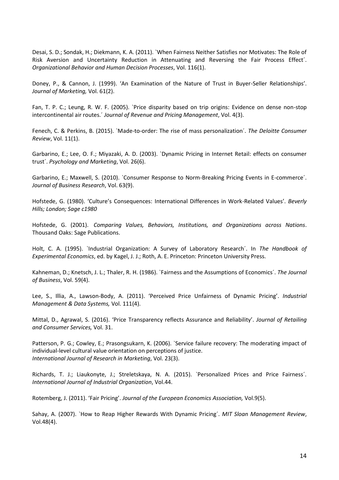Desai, S. D.; Sondak, H.; Diekmann, K. A. (2011). `When Fairness Neither Satisfies nor Motivates: The Role of Risk Aversion and Uncertainty Reduction in Attenuating and Reversing the Fair Process Effect´. *Organizational Behavior and Human Decision Processes*, Vol. 116(1).

Doney, P., & Cannon, J. (1999). 'An Examination of the Nature of Trust in Buyer-Seller Relationships'. *Journal of Marketing,* Vol. 61(2).

Fan, T. P. C.; Leung, R. W. F. (2005). `Price disparity based on trip origins: Evidence on dense non-stop intercontinental air routes.´ *Journal of Revenue and Pricing Management*, Vol. 4(3).

Fenech, C. & Perkins, B. (2015). `Made-to-order: The rise of mass personalization´. *The Deloitte Consumer Review*, Vol. 11(1).

Garbarino, E.; Lee, O. F.; Miyazaki, A. D. (2003). `Dynamic Pricing in Internet Retail: effects on consumer trust´. *Psychology and Marketing*, Vol. 26(6).

Garbarino, E.; Maxwell, S. (2010). `Consumer Response to Norm-Breaking Pricing Events in E-commerce´. *Journal of Business Research*, Vol. 63(9).

Hofstede, G. (1980). 'Culture's Consequences: International Differences in Work-Related Values'. *Beverly Hills; London; Sage c1980*

Hofstede, G. (2001). *Comparing Values, Behaviors, Institutions, and Organizations across Nations*. Thousand Oaks: Sage Publications.

Holt, C. A. (1995). `Industrial Organization: A Survey of Laboratory Research´. In *The Handbook of Experimental Economics*, ed. by Kagel, J. J.; Roth, A. E. Princeton: Princeton University Press.

Kahneman, D.; Knetsch, J. L.; Thaler, R. H. (1986). `Fairness and the Assumptions of Economics´. *The Journal of Business*, Vol. 59(4).

Lee, S., Illia, A., Lawson-Body, A. (2011). 'Perceived Price Unfairness of Dynamic Pricing'. *Industrial Management & Data Systems,* Vol. 111(4).

Mittal, D., Agrawal, S. (2016). 'Price Transparency reflects Assurance and Reliability'. *Journal of Retailing and Consumer Services,* Vol. 31.

Patterson, P. G.; Cowley, E.; Prasongsukarn, K. (2006). `Service failure recovery: The moderating impact of individual-level cultural value orientation on perceptions of justice. *International Journal of Research in Marketing*, Vol. 23(3).

Richards, T. J.; Liaukonyte, J.; Streletskaya, N. A. (2015). `Personalized Prices and Price Fairness´. *International Journal of Industrial Organization*, Vol.44.

Rotemberg, J. (2011). 'Fair Pricing'. *Journal of the European Economics Association,* Vol.9(5).

Sahay, A. (2007). `How to Reap Higher Rewards With Dynamic Pricing´. *MIT Sloan Management Review*, Vol.48(4).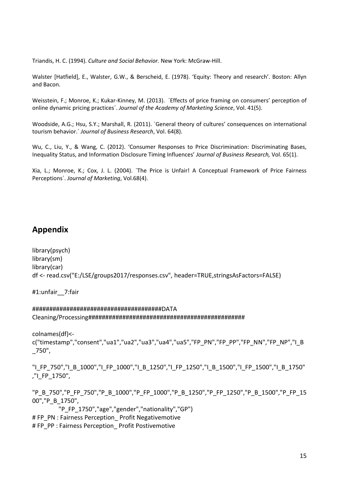Triandis, H. C. (1994). *Culture and Social Behavior.* New York: McGraw-Hill.

Walster [Hatfield], E., Walster, G.W., & Berscheid, E. (1978). 'Equity: Theory and research'. Boston: Allyn and Bacon.

Weisstein, F.; Monroe, K.; Kukar-Kinney, M. (2013). `Effects of price framing on consumers' perception of online dynamic pricing practices´. *Journal of the Academy of Marketing Science*, Vol. 41(5).

Woodside, A.G.; Hsu, S.Y.; Marshall, R. (2011). `General theory of cultures' consequences on international tourism behavior.´ *Journal of Business Research*, Vol. 64(8).

Wu, C., Liu, Y., & Wang, C. (2012). 'Consumer Responses to Price Discrimination: Discriminating Bases, Inequality Status, and Information Disclosure Timing Influences' *Journal of Business Research,* Vol. 65(1).

Xia, L.; Monroe, K.; Cox, J. L. (2004). `The Price is Unfair! A Conceptual Framework of Price Fairness Perceptions´. *Journal of Marketing*, Vol.68(4).

# **Appendix**

library(psych) library(sm) library(car) df <- read.csv("E:/LSE/groups2017/responses.csv", header=TRUE,stringsAsFactors=FALSE)

#1:unfair\_\_7:fair

######################################DATA Cleaning/Processing##############################################

colnames(df)< c("timestamp","consent","ua1","ua2","ua3","ua4","ua5","FP\_PN","FP\_PP","FP\_NN","FP\_NP","I\_B  $\_750$ ",

"I\_FP\_750","I\_B\_1000","I\_FP\_1000","I\_B\_1250","I\_FP\_1250","I\_B\_1500","I\_FP\_1500","I\_B\_1750" ,"I\_FP\_1750",

"P\_B\_750","P\_FP\_750","P\_B\_1000","P\_FP\_1000","P\_B\_1250","P\_FP\_1250","P\_B\_1500","P\_FP\_15 00","P\_B\_1750", "P\_FP\_1750","age","gender","nationality","GP") # FP\_PN : Fairness Perception\_ Profit Negativemotive # FP\_PP : Fairness Perception \_ Profit Postivemotive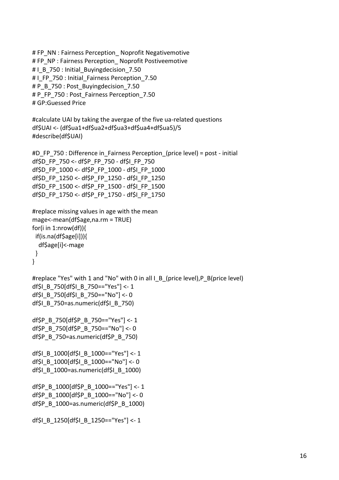```
# FP_NN : Fairness Perception_ Noprofit Negativemotive
# FP_NP : Fairness Perception _ Noprofit Postiveemotive
# I_B_750 : Initial_Buyingdecision_7.50
# I_FP_750 : Initial_Fairness Perception_7.50
# P_B_750 : Post_Buyingdecision_7.50
# P_FP_750 : Post_Fairness Perception_7.50
# GP:Guessed Price
#calculate UAI by taking the avergae of the five ua-related questions
df$UAI <- (df$ua1+df$ua2+df$ua3+df$ua4+df$ua5)/5
#describe(df$UAI)
#D_FP_750 : Difference in_Fairness Perception_(price level) = post - initial
df$D_FP_750 <- df$P_FP_750 - df$I_FP_750
df$D_FP_1000 <- df$P_FP_1000 - df$I_FP_1000
df$D_FP_1250 <- df$P_FP_1250 - df$I_FP_1250 
df$D_FP_1500 <- df$P_FP_1500 - df$I_FP_1500 
df$D_FP_1750 <- df$P_FP_1750 - df$I_FP_1750
#replace missing values in age with the mean
mage<-mean(df$age,na.rm = TRUE)
for(i in 1:nrow(df)){ 
  if(is.na(df$age[i])){
   df$age[i]<-mage
 }
}
#replace "Yes" with 1 and "No" with 0 in all I_B_(price level),P_B(price level)
df$I_B_750[df$I_B_750=="Yes"] <- 1
df$I_B_750[df$I_B_750=="No"] <- 0
df$I_B_750=as.numeric(df$I_B_750)
df$P_B_750[df$P_B_750=="Yes"] <- 1
df$P_B_750[df$P_B_750=="No"] <- 0
df$P_B_750=as.numeric(df$P_B_750)
df$I_B_1000[df$I_B_1000=="Yes"] <- 1
df$I_B_1000[df$I_B_1000=="No"] <- 0
df$I B 1000=as.numeric(df$I B 1000)
df$P_B_1000[df$P_B_1000=="Yes"] <- 1
df$P_B_1000[df$P_B_1000=="No"] <- 0
df$P_B_1000=as.numeric(df$P_B_1000)
df$I_B_1250[df$I_B_1250=="Yes"] <- 1
```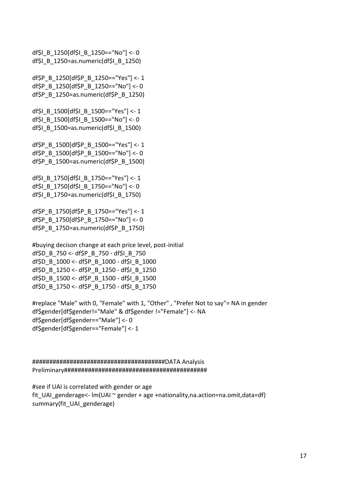df\$I\_B\_1250[df\$I\_B\_1250=="No"] <- 0 df\$I\_B\_1250=as.numeric(df\$I\_B\_1250) df\$P\_B\_1250[df\$P\_B\_1250=="Yes"] <- 1 df\$P\_B\_1250[df\$P\_B\_1250=="No"] <- 0 df\$P\_B\_1250=as.numeric(df\$P\_B\_1250) df\$I\_B\_1500[df\$I\_B\_1500=="Yes"] <- 1 df\$I\_B\_1500[df\$I\_B\_1500=="No"] <- 0 df\$I\_B\_1500=as.numeric(df\$I\_B\_1500) df\$P\_B\_1500[df\$P\_B\_1500=="Yes"] <- 1 df\$P\_B\_1500[df\$P\_B\_1500=="No"] <- 0 df\$P\_B\_1500=as.numeric(df\$P\_B\_1500) df\$I\_B\_1750[df\$I\_B\_1750=="Yes"] <- 1 df\$I\_B\_1750[df\$I\_B\_1750=="No"] <- 0 df\$I\_B\_1750=as.numeric(df\$I\_B\_1750) df\$P\_B\_1750[df\$P\_B\_1750=="Yes"] <- 1 df\$P\_B\_1750[df\$P\_B\_1750=="No"] <- 0 df\$P\_B\_1750=as.numeric(df\$P\_B\_1750)

#buying decison change at each price level, post-initial df\$D\_B\_750 <- df\$P\_B\_750 - df\$I\_B\_750 df\$D\_B\_1000 <- df\$P\_B\_1000 - df\$I\_B\_1000 df\$D\_B\_1250 <- df\$P\_B\_1250 - df\$I\_B\_1250 df\$D\_B\_1500 <- df\$P\_B\_1500 - df\$I\_B\_1500 df\$D\_B\_1750 <- df\$P\_B\_1750 - df\$I\_B\_1750

#replace "Male" with 0, "Female" with 1, "Other" , "Prefer Not to say"= NA in gender df\$gender[df\$gender!="Male" & df\$gender !="Female"] <- NA df\$gender[df\$gender=="Male"] <- 0 df\$gender[df\$gender=="Female"] <- 1

#######################################DATA Analysis Preliminary##########################################

#see if UAI is correlated with gender or age fit UAI genderage<-  $Im(UA1 ~ \gamma$  gender + age +nationality,na.action=na.omit,data=df) summary(fit\_UAI\_genderage)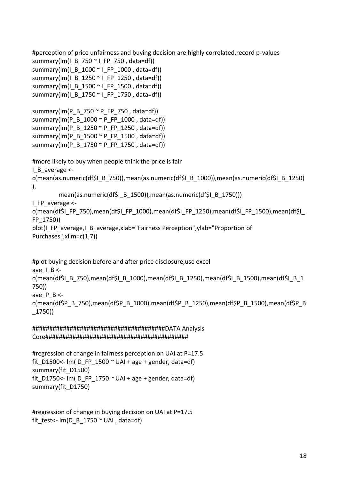```
#perception of price unfairness and buying decision are highly correlated,record p-values
summary(Im(I - B - 750 \sim I - FP - 750, data=df))
summary(Im(I_B_1000 \sim I_F - 1000, data=df))
summary(Im(I - B_1 1250 ~\text{m}) FP 1250 , data=df))
summary(Im(I - B_1 1500 ~ \text{m}) FP 1500 , data=df))
summary(lm(I_B_1750 ~ I_FP_1750 , data=df))
summary(lm(P_B_750 ~ P_FP_750 , data=df))
summary(Im(P_B_1000 \sim P_F P_1000, data=df))
summary(lm(P_B_1250 ~ P_FP_1250 , data=df))
summary(\text{Im}(P \ B \ 1500 \degree P \ \text{FP } 1500, data=df))
summary(Im(P_B_1750 \sim P_F_P_1750, data=df))
#more likely to buy when people think the price is fair
I_B_average <-
c(mean(as.numeric(df$I_B_750)),mean(as.numeric(df$I_B_1000)),mean(as.numeric(df$I_B_1250)
),
         mean(as.numeric(df$I_B_1500)),mean(as.numeric(df$I_B_1750)))
I_FP_average <-
c(mean(df$I_FP_750),mean(df$I_FP_1000),mean(df$I_FP_1250),mean(df$I_FP_1500),mean(df$I
FP_1750))
plot(I_FP_average,I_B_average,xlab="Fairness Perception",ylab="Proportion of 
Purchases",xlim=c(1,7))
#plot buying decision before and after price disclosure,use excel
ave I B \lt-
c(mean(df$I_B_750),mean(df$I_B_1000),mean(df$I_B_1250),mean(df$I_B_1500),mean(df$I_B_1
750))
ave P B \lt-
c(mean(df$P_B_750),mean(df$P_B_1000),mean(df$P_B_1250),mean(df$P_B_1500),mean(df$P_B
_1750))
```
#######################################DATA Analysis Core##########################################

#regression of change in fairness perception on UAI at P=17.5 fit\_D1500<-  $Im(D_FP_1500 \sim UAl + age + gender$ , data=df) summary(fit\_D1500) fit D1750 <- lm( D FP  $1750 ~\degree$  UAI + age + gender, data=df) summary(fit\_D1750)

#regression of change in buying decision on UAI at P=17.5 fit\_test<-  $Im(D \, B \, 1750 \, \degree \, UAI \, , data=df)$